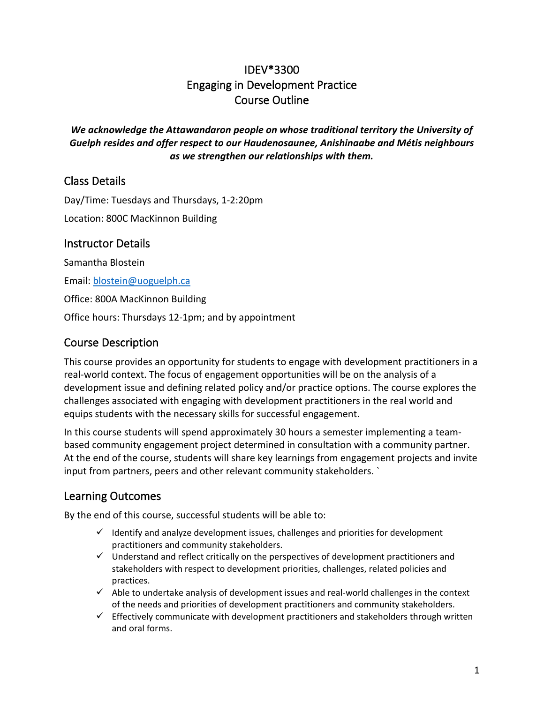# IDEV\*3300 Engaging in Development Practice Course Outline

*We acknowledge the Attawandaron people on whose traditional territory the University of Guelph resides and offer respect to our Haudenosaunee, Anishinaabe and Métis neighbours as we strengthen our relationships with them.*

## Class Details

Day/Time: Tuesdays and Thursdays, 1-2:20pm Location: 800C MacKinnon Building

### Instructor Details

Samantha Blostein

Email: [blostein@uoguelph.ca](mailto:blostein@uoguelph.ca)

Office: 800A MacKinnon Building

Office hours: Thursdays 12-1pm; and by appointment

## Course Description

This course provides an opportunity for students to engage with development practitioners in a real-world context. The focus of engagement opportunities will be on the analysis of a development issue and defining related policy and/or practice options. The course explores the challenges associated with engaging with development practitioners in the real world and equips students with the necessary skills for successful engagement.

In this course students will spend approximately 30 hours a semester implementing a teambased community engagement project determined in consultation with a community partner. At the end of the course, students will share key learnings from engagement projects and invite input from partners, peers and other relevant community stakeholders. `

## Learning Outcomes

By the end of this course, successful students will be able to:

- $\checkmark$  Identify and analyze development issues, challenges and priorities for development practitioners and community stakeholders.
- $\checkmark$  Understand and reflect critically on the perspectives of development practitioners and stakeholders with respect to development priorities, challenges, related policies and practices.
- $\checkmark$  Able to undertake analysis of development issues and real-world challenges in the context of the needs and priorities of development practitioners and community stakeholders.
- $\checkmark$  Effectively communicate with development practitioners and stakeholders through written and oral forms.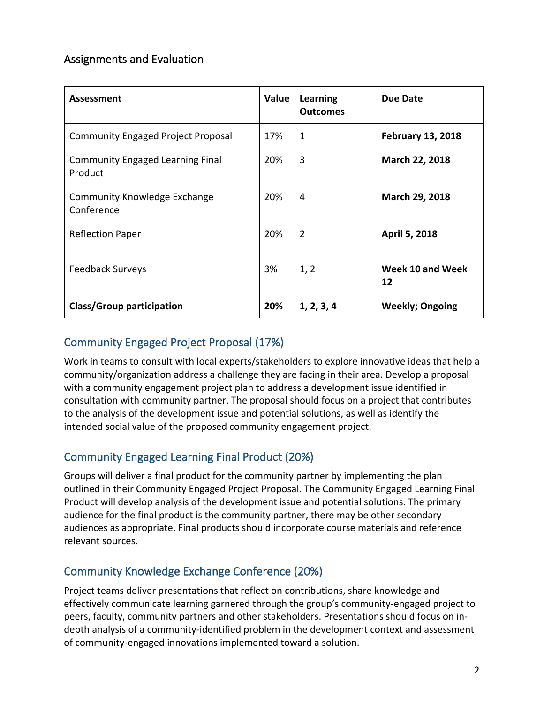## Assignments and Evaluation

| <b>Assessment</b>                                  | Value | Learning<br><b>Outcomes</b> | <b>Due Date</b>          |
|----------------------------------------------------|-------|-----------------------------|--------------------------|
| <b>Community Engaged Project Proposal</b>          | 17%   | $\mathbf{1}$                | <b>February 13, 2018</b> |
| <b>Community Engaged Learning Final</b><br>Product | 20%   | 3                           | March 22, 2018           |
| <b>Community Knowledge Exchange</b><br>Conference  | 20%   | 4                           | March 29, 2018           |
| <b>Reflection Paper</b>                            | 20%   | $\overline{2}$              | April 5, 2018            |
| <b>Feedback Surveys</b>                            | 3%    | 1, 2                        | Week 10 and Week<br>12   |
| <b>Class/Group participation</b>                   | 20%   | 1, 2, 3, 4                  | <b>Weekly; Ongoing</b>   |

## Community Engaged Project Proposal (17%)

Work in teams to consult with local experts/stakeholders to explore innovative ideas that help a community/organization address a challenge they are facing in their area. Develop a proposal with a community engagement project plan to address a development issue identified in consultation with community partner. The proposal should focus on a project that contributes to the analysis of the development issue and potential solutions, as well as identify the intended social value of the proposed community engagement project.

## Community Engaged Learning Final Product (20%)

Groups will deliver a final product for the community partner by implementing the plan outlined in their Community Engaged Project Proposal. The Community Engaged Learning Final Product will develop analysis of the development issue and potential solutions. The primary audience for the final product is the community partner, there may be other secondary audiences as appropriate. Final products should incorporate course materials and reference relevant sources.

## Community Knowledge Exchange Conference (20%)

Project teams deliver presentations that reflect on contributions, share knowledge and effectively communicate learning garnered through the group's community-engaged project to peers, faculty, community partners and other stakeholders. Presentations should focus on indepth analysis of a community-identified problem in the development context and assessment of community-engaged innovations implemented toward a solution.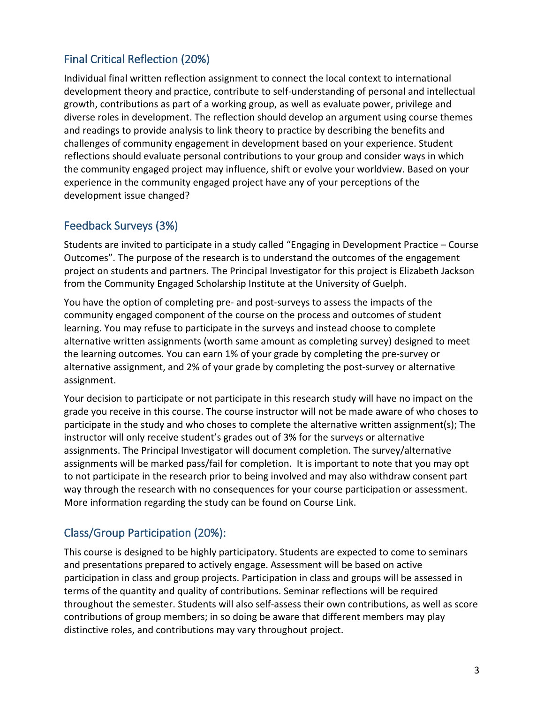## Final Critical Reflection (20%)

Individual final written reflection assignment to connect the local context to international development theory and practice, contribute to self-understanding of personal and intellectual growth, contributions as part of a working group, as well as evaluate power, privilege and diverse roles in development. The reflection should develop an argument using course themes and readings to provide analysis to link theory to practice by describing the benefits and challenges of community engagement in development based on your experience. Student reflections should evaluate personal contributions to your group and consider ways in which the community engaged project may influence, shift or evolve your worldview. Based on your experience in the community engaged project have any of your perceptions of the development issue changed?

## Feedback Surveys (3%)

Students are invited to participate in a study called "Engaging in Development Practice – Course Outcomes". The purpose of the research is to understand the outcomes of the engagement project on students and partners. The Principal Investigator for this project is Elizabeth Jackson from the Community Engaged Scholarship Institute at the University of Guelph.

You have the option of completing pre- and post-surveys to assess the impacts of the community engaged component of the course on the process and outcomes of student learning. You may refuse to participate in the surveys and instead choose to complete alternative written assignments (worth same amount as completing survey) designed to meet the learning outcomes. You can earn 1% of your grade by completing the pre-survey or alternative assignment, and 2% of your grade by completing the post-survey or alternative assignment.

Your decision to participate or not participate in this research study will have no impact on the grade you receive in this course. The course instructor will not be made aware of who choses to participate in the study and who choses to complete the alternative written assignment(s); The instructor will only receive student's grades out of 3% for the surveys or alternative assignments. The Principal Investigator will document completion. The survey/alternative assignments will be marked pass/fail for completion. It is important to note that you may opt to not participate in the research prior to being involved and may also withdraw consent part way through the research with no consequences for your course participation or assessment. More information regarding the study can be found on Course Link.

## Class/Group Participation (20%):

This course is designed to be highly participatory. Students are expected to come to seminars and presentations prepared to actively engage. Assessment will be based on active participation in class and group projects. Participation in class and groups will be assessed in terms of the quantity and quality of contributions. Seminar reflections will be required throughout the semester. Students will also self-assess their own contributions, as well as score contributions of group members; in so doing be aware that different members may play distinctive roles, and contributions may vary throughout project.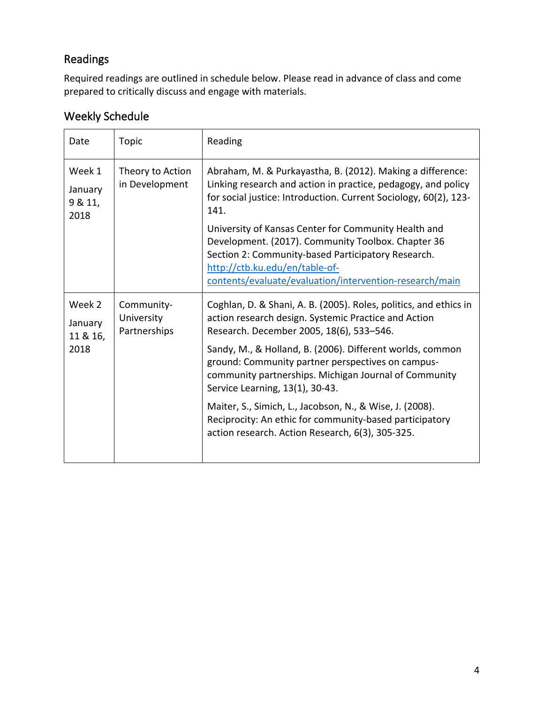# Readings

Required readings are outlined in schedule below. Please read in advance of class and come prepared to critically discuss and engage with materials.

# Weekly Schedule

| Date                                  | <b>Topic</b>                             | Reading                                                                                                                                                                                                                                                                                                                                                                             |
|---------------------------------------|------------------------------------------|-------------------------------------------------------------------------------------------------------------------------------------------------------------------------------------------------------------------------------------------------------------------------------------------------------------------------------------------------------------------------------------|
| Week 1<br>January<br>9 & 11,<br>2018  | Theory to Action<br>in Development       | Abraham, M. & Purkayastha, B. (2012). Making a difference:<br>Linking research and action in practice, pedagogy, and policy<br>for social justice: Introduction. Current Sociology, 60(2), 123-<br>141.                                                                                                                                                                             |
|                                       |                                          | University of Kansas Center for Community Health and<br>Development. (2017). Community Toolbox. Chapter 36<br>Section 2: Community-based Participatory Research.<br>http://ctb.ku.edu/en/table-of-<br>contents/evaluate/evaluation/intervention-research/main                                                                                                                       |
| Week 2<br>January<br>11 & 16,<br>2018 | Community-<br>University<br>Partnerships | Coghlan, D. & Shani, A. B. (2005). Roles, politics, and ethics in<br>action research design. Systemic Practice and Action<br>Research. December 2005, 18(6), 533-546.<br>Sandy, M., & Holland, B. (2006). Different worlds, common<br>ground: Community partner perspectives on campus-<br>community partnerships. Michigan Journal of Community<br>Service Learning, 13(1), 30-43. |
|                                       |                                          | Maiter, S., Simich, L., Jacobson, N., & Wise, J. (2008).<br>Reciprocity: An ethic for community-based participatory<br>action research. Action Research, 6(3), 305-325.                                                                                                                                                                                                             |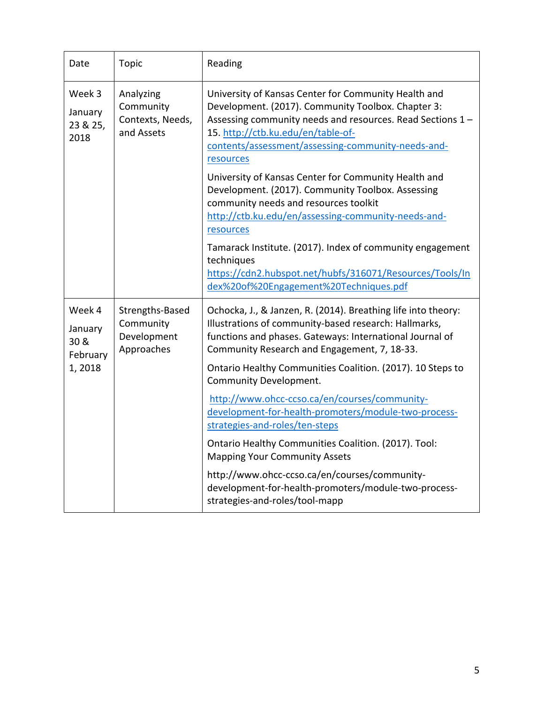| Date                                  | Topic                                                     | Reading                                                                                                                                                                                                                                                                           |
|---------------------------------------|-----------------------------------------------------------|-----------------------------------------------------------------------------------------------------------------------------------------------------------------------------------------------------------------------------------------------------------------------------------|
| Week 3<br>January<br>23 & 25,<br>2018 | Analyzing<br>Community<br>Contexts, Needs,<br>and Assets  | University of Kansas Center for Community Health and<br>Development. (2017). Community Toolbox. Chapter 3:<br>Assessing community needs and resources. Read Sections 1 -<br>15. http://ctb.ku.edu/en/table-of-<br>contents/assessment/assessing-community-needs-and-<br>resources |
|                                       |                                                           | University of Kansas Center for Community Health and<br>Development. (2017). Community Toolbox. Assessing<br>community needs and resources toolkit<br>http://ctb.ku.edu/en/assessing-community-needs-and-<br>resources                                                            |
|                                       |                                                           | Tamarack Institute. (2017). Index of community engagement<br>techniques<br>https://cdn2.hubspot.net/hubfs/316071/Resources/Tools/In<br>dex%20of%20Engagement%20Techniques.pdf                                                                                                     |
| Week 4<br>January<br>30 &<br>February | Strengths-Based<br>Community<br>Development<br>Approaches | Ochocka, J., & Janzen, R. (2014). Breathing life into theory:<br>Illustrations of community-based research: Hallmarks,<br>functions and phases. Gateways: International Journal of<br>Community Research and Engagement, 7, 18-33.                                                |
| 1,2018                                |                                                           | Ontario Healthy Communities Coalition. (2017). 10 Steps to<br><b>Community Development.</b>                                                                                                                                                                                       |
|                                       |                                                           | http://www.ohcc-ccso.ca/en/courses/community-<br>development-for-health-promoters/module-two-process-<br>strategies-and-roles/ten-steps                                                                                                                                           |
|                                       |                                                           | Ontario Healthy Communities Coalition. (2017). Tool:<br><b>Mapping Your Community Assets</b>                                                                                                                                                                                      |
|                                       |                                                           | http://www.ohcc-ccso.ca/en/courses/community-<br>development-for-health-promoters/module-two-process-<br>strategies-and-roles/tool-mapp                                                                                                                                           |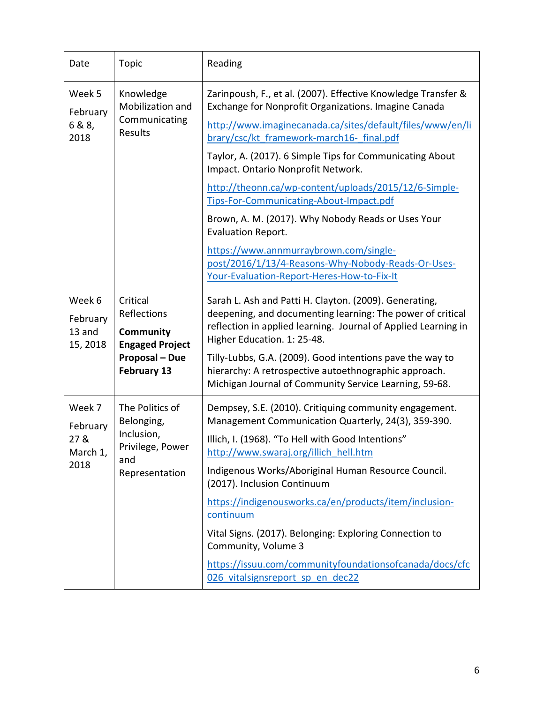| Date                                           | <b>Topic</b>                                                                                           | Reading                                                                                                                                                                                                                                                                                                                                                                                                                                                                                                                                                                                                                                                         |
|------------------------------------------------|--------------------------------------------------------------------------------------------------------|-----------------------------------------------------------------------------------------------------------------------------------------------------------------------------------------------------------------------------------------------------------------------------------------------------------------------------------------------------------------------------------------------------------------------------------------------------------------------------------------------------------------------------------------------------------------------------------------------------------------------------------------------------------------|
| Week 5<br>February<br>6 & 8,<br>2018           | Knowledge<br>Mobilization and<br>Communicating<br><b>Results</b>                                       | Zarinpoush, F., et al. (2007). Effective Knowledge Transfer &<br>Exchange for Nonprofit Organizations. Imagine Canada<br>http://www.imaginecanada.ca/sites/default/files/www/en/li<br>brary/csc/kt framework-march16- final.pdf<br>Taylor, A. (2017). 6 Simple Tips for Communicating About<br>Impact. Ontario Nonprofit Network.<br>http://theonn.ca/wp-content/uploads/2015/12/6-Simple-<br>Tips-For-Communicating-About-Impact.pdf<br>Brown, A. M. (2017). Why Nobody Reads or Uses Your<br>Evaluation Report.<br>https://www.annmurraybrown.com/single-<br>post/2016/1/13/4-Reasons-Why-Nobody-Reads-Or-Uses-<br>Your-Evaluation-Report-Heres-How-to-Fix-It |
| Week 6<br>February<br>13 and<br>15, 2018       | Critical<br>Reflections<br>Community<br><b>Engaged Project</b><br><b>Proposal - Due</b><br>February 13 | Sarah L. Ash and Patti H. Clayton. (2009). Generating,<br>deepening, and documenting learning: The power of critical<br>reflection in applied learning. Journal of Applied Learning in<br>Higher Education. 1: 25-48.<br>Tilly-Lubbs, G.A. (2009). Good intentions pave the way to<br>hierarchy: A retrospective autoethnographic approach.<br>Michigan Journal of Community Service Learning, 59-68.                                                                                                                                                                                                                                                           |
| Week 7<br>February<br>27 &<br>March 1,<br>2018 | The Politics of<br>Belonging,<br>Inclusion,<br>Privilege, Power<br>and<br>Representation               | Dempsey, S.E. (2010). Critiquing community engagement.<br>Management Communication Quarterly, 24(3), 359-390.<br>Illich, I. (1968). "To Hell with Good Intentions"<br>http://www.swaraj.org/illich hell.htm<br>Indigenous Works/Aboriginal Human Resource Council.<br>(2017). Inclusion Continuum<br>https://indigenousworks.ca/en/products/item/inclusion-<br>continuum<br>Vital Signs. (2017). Belonging: Exploring Connection to<br>Community, Volume 3<br>https://issuu.com/communityfoundationsofcanada/docs/cfc<br>026 vitalsignsreport sp en dec22                                                                                                       |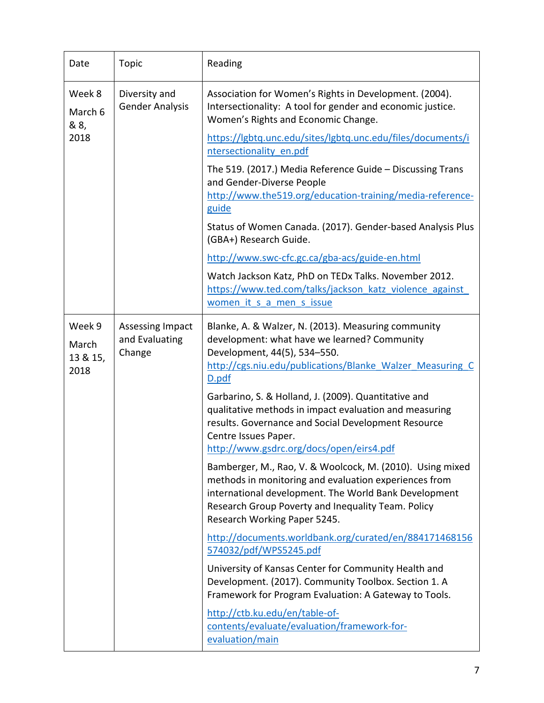| Date                                                                         | <b>Topic</b>                                        | Reading                                                                                                                                                                                                                                                           |
|------------------------------------------------------------------------------|-----------------------------------------------------|-------------------------------------------------------------------------------------------------------------------------------------------------------------------------------------------------------------------------------------------------------------------|
| Week 8<br>Diversity and<br><b>Gender Analysis</b><br>March 6<br>& 8,<br>2018 |                                                     | Association for Women's Rights in Development. (2004).<br>Intersectionality: A tool for gender and economic justice.<br>Women's Rights and Economic Change.                                                                                                       |
|                                                                              |                                                     | https://lgbtq.unc.edu/sites/lgbtq.unc.edu/files/documents/i<br>ntersectionality en.pdf                                                                                                                                                                            |
|                                                                              |                                                     | The 519. (2017.) Media Reference Guide - Discussing Trans<br>and Gender-Diverse People<br>http://www.the519.org/education-training/media-reference-<br>guide                                                                                                      |
|                                                                              |                                                     | Status of Women Canada. (2017). Gender-based Analysis Plus<br>(GBA+) Research Guide.                                                                                                                                                                              |
|                                                                              |                                                     | http://www.swc-cfc.gc.ca/gba-acs/guide-en.html                                                                                                                                                                                                                    |
|                                                                              |                                                     | Watch Jackson Katz, PhD on TEDx Talks. November 2012.<br>https://www.ted.com/talks/jackson katz violence against<br>women it s a men s issue                                                                                                                      |
| Week 9<br>March<br>13 & 15,<br>2018                                          | <b>Assessing Impact</b><br>and Evaluating<br>Change | Blanke, A. & Walzer, N. (2013). Measuring community<br>development: what have we learned? Community<br>Development, 44(5), 534-550.<br>http://cgs.niu.edu/publications/Blanke Walzer Measuring C<br>D.pdf<br>Garbarino, S. & Holland, J. (2009). Quantitative and |
|                                                                              |                                                     | qualitative methods in impact evaluation and measuring<br>results. Governance and Social Development Resource<br>Centre Issues Paper.<br>http://www.gsdrc.org/docs/open/eirs4.pdf                                                                                 |
|                                                                              |                                                     | Bamberger, M., Rao, V. & Woolcock, M. (2010). Using mixed<br>methods in monitoring and evaluation experiences from<br>international development. The World Bank Development<br>Research Group Poverty and Inequality Team. Policy<br>Research Working Paper 5245. |
|                                                                              |                                                     | http://documents.worldbank.org/curated/en/884171468156<br>574032/pdf/WPS5245.pdf                                                                                                                                                                                  |
|                                                                              |                                                     | University of Kansas Center for Community Health and<br>Development. (2017). Community Toolbox. Section 1. A<br>Framework for Program Evaluation: A Gateway to Tools.                                                                                             |
|                                                                              |                                                     | http://ctb.ku.edu/en/table-of-<br>contents/evaluate/evaluation/framework-for-<br>evaluation/main                                                                                                                                                                  |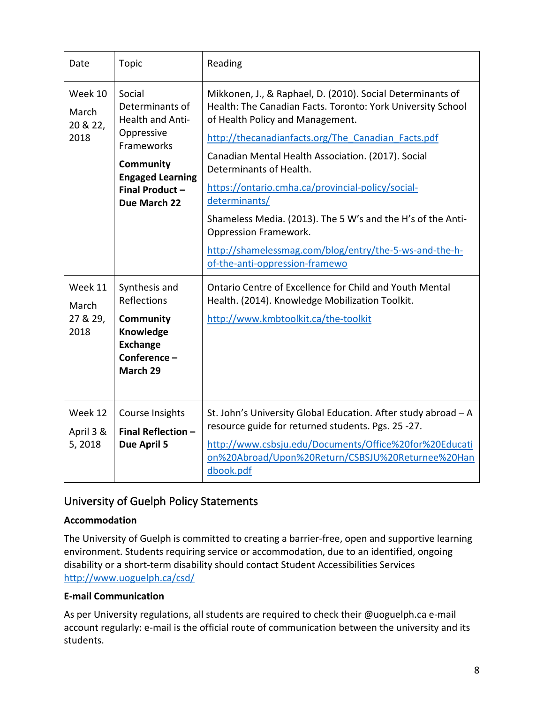| Date                                 | <b>Topic</b>                                                                                                                                                      | Reading                                                                                                                                                                                                                                                                                                                                                                                                                                                                                                                                                               |
|--------------------------------------|-------------------------------------------------------------------------------------------------------------------------------------------------------------------|-----------------------------------------------------------------------------------------------------------------------------------------------------------------------------------------------------------------------------------------------------------------------------------------------------------------------------------------------------------------------------------------------------------------------------------------------------------------------------------------------------------------------------------------------------------------------|
| Week 10<br>March<br>20 & 22,<br>2018 | Social<br>Determinants of<br><b>Health and Anti-</b><br>Oppressive<br>Frameworks<br><b>Community</b><br><b>Engaged Learning</b><br>Final Product-<br>Due March 22 | Mikkonen, J., & Raphael, D. (2010). Social Determinants of<br>Health: The Canadian Facts. Toronto: York University School<br>of Health Policy and Management.<br>http://thecanadianfacts.org/The Canadian Facts.pdf<br>Canadian Mental Health Association. (2017). Social<br>Determinants of Health.<br>https://ontario.cmha.ca/provincial-policy/social-<br>determinants/<br>Shameless Media. (2013). The 5 W's and the H's of the Anti-<br><b>Oppression Framework.</b><br>http://shamelessmag.com/blog/entry/the-5-ws-and-the-h-<br>of-the-anti-oppression-framewo |
| Week 11<br>March<br>27 & 29,<br>2018 | Synthesis and<br><b>Reflections</b><br><b>Community</b><br>Knowledge<br><b>Exchange</b><br>Conference-<br>March 29                                                | Ontario Centre of Excellence for Child and Youth Mental<br>Health. (2014). Knowledge Mobilization Toolkit.<br>http://www.kmbtoolkit.ca/the-toolkit                                                                                                                                                                                                                                                                                                                                                                                                                    |
| Week 12<br>April 3 &<br>5,2018       | Course Insights<br>Final Reflection -<br>Due April 5                                                                                                              | St. John's University Global Education. After study abroad - A<br>resource guide for returned students. Pgs. 25 -27.<br>http://www.csbsju.edu/Documents/Office%20for%20Educati<br>on%20Abroad/Upon%20Return/CSBSJU%20Returnee%20Han<br>dbook.pdf                                                                                                                                                                                                                                                                                                                      |

## University of Guelph Policy Statements

### **Accommodation**

The University of Guelph is committed to creating a barrier-free, open and supportive learning environment. Students requiring service or accommodation, due to an identified, ongoing disability or a short-term disability should contact Student Accessibilities Services <http://www.uoguelph.ca/csd/>

### **E-mail Communication**

As per University regulations, all students are required to check their @uoguelph.ca e-mail account regularly: e-mail is the official route of communication between the university and its students.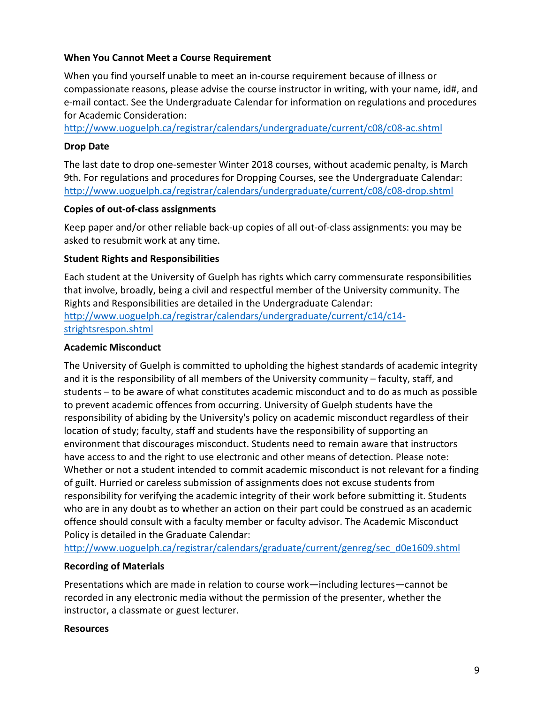### **When You Cannot Meet a Course Requirement**

When you find yourself unable to meet an in-course requirement because of illness or compassionate reasons, please advise the course instructor in writing, with your name, id#, and e-mail contact. See the Undergraduate Calendar for information on regulations and procedures for Academic Consideration:

<http://www.uoguelph.ca/registrar/calendars/undergraduate/current/c08/c08-ac.shtml>

### **Drop Date**

The last date to drop one-semester Winter 2018 courses, without academic penalty, is March 9th. For regulations and procedures for Dropping Courses, see the Undergraduate Calendar: <http://www.uoguelph.ca/registrar/calendars/undergraduate/current/c08/c08-drop.shtml>

#### **Copies of out-of-class assignments**

Keep paper and/or other reliable back-up copies of all out-of-class assignments: you may be asked to resubmit work at any time.

### **Student Rights and Responsibilities**

Each student at the University of Guelph has rights which carry commensurate responsibilities that involve, broadly, being a civil and respectful member of the University community. The Rights and Responsibilities are detailed in the Undergraduate Calendar: [http://www.uoguelph.ca/registrar/calendars/undergraduate/current/c14/c14](http://www.uoguelph.ca/registrar/calendars/undergraduate/current/c14/c14-strightsrespon.shtml) [strightsrespon.shtml](http://www.uoguelph.ca/registrar/calendars/undergraduate/current/c14/c14-strightsrespon.shtml) 

### **Academic Misconduct**

The University of Guelph is committed to upholding the highest standards of academic integrity and it is the responsibility of all members of the University community – faculty, staff, and students – to be aware of what constitutes academic misconduct and to do as much as possible to prevent academic offences from occurring. University of Guelph students have the responsibility of abiding by the University's policy on academic misconduct regardless of their location of study; faculty, staff and students have the responsibility of supporting an environment that discourages misconduct. Students need to remain aware that instructors have access to and the right to use electronic and other means of detection. Please note: Whether or not a student intended to commit academic misconduct is not relevant for a finding of guilt. Hurried or careless submission of assignments does not excuse students from responsibility for verifying the academic integrity of their work before submitting it. Students who are in any doubt as to whether an action on their part could be construed as an academic offence should consult with a faculty member or faculty advisor. The Academic Misconduct Policy is detailed in the Graduate Calendar:

[http://www.uoguelph.ca/registrar/calendars/graduate/current/genreg/sec\\_d0e1609.shtml](http://www.uoguelph.ca/registrar/calendars/graduate/current/genreg/sec_d0e1609.shtml) 

### **Recording of Materials**

Presentations which are made in relation to course work—including lectures—cannot be recorded in any electronic media without the permission of the presenter, whether the instructor, a classmate or guest lecturer.

#### **Resources**